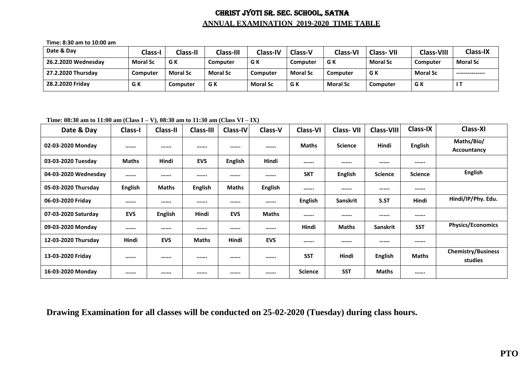## CHRIST JYOTI SR. SEC. SCHOOL, SATNA **ANNUAL EXAMINATION 2019-2020 TIME TABLE**

**Time: 8:30 am to 10:00 am**

| Date & Day          | Class-I         | <b>Class-II</b> | Class-III       | <b>Class-IV</b> | <b>Class-V</b>  | <b>Class-VI</b> | <b>Class-VII</b> | <b>Class-VIII</b> | <b>Class-IX</b> |
|---------------------|-----------------|-----------------|-----------------|-----------------|-----------------|-----------------|------------------|-------------------|-----------------|
| 26.2.2020 Wednesdav | <b>Moral Sc</b> | G K             | Computer        | G K             | <b>Computer</b> | G K             | <b>Moral Sc</b>  | Computer          | <b>Moral Sc</b> |
| 27.2.2020 Thursday  | Computer        | <b>Moral Sc</b> | <b>Moral Sc</b> | Computer        | <b>Moral Sc</b> | <b>Computer</b> | G K              | <b>Moral Sc</b>   | --------------- |
| 28.2.2020 Fridav    | G K             | Computer        | G K             | <b>Moral Sc</b> | G K             | <b>Moral Sc</b> | Computer         | G K               |                 |

**Time: 08:30 am to 11:00 am (Class I – V), 08:30 am to 11:30 am (Class VI – IX)**

| Date & Day           | Class-I        | <b>Class-II</b> | <b>Class-III</b> | Class-IV       | <b>Class-V</b> | <b>Class-VI</b> | <b>Class-VII</b> | <b>Class-VIII</b> | <b>Class-IX</b> | <b>Class-XI</b>                      |
|----------------------|----------------|-----------------|------------------|----------------|----------------|-----------------|------------------|-------------------|-----------------|--------------------------------------|
| 02-03-2020 Monday    |                |                 |                  |                |                | <b>Maths</b>    | <b>Science</b>   | Hindi             | <b>English</b>  | Maths/Bio/<br>Accountancy            |
| 03-03-2020 Tuesday   | <b>Maths</b>   | Hindi           | <b>EVS</b>       | <b>English</b> | Hindi          |                 |                  |                   |                 |                                      |
| 04-03-2020 Wednesday |                |                 |                  |                |                | <b>SKT</b>      | <b>English</b>   | <b>Science</b>    | <b>Science</b>  | <b>English</b>                       |
| 05-03-2020 Thursday  | <b>English</b> | <b>Maths</b>    | <b>English</b>   | <b>Maths</b>   | <b>English</b> |                 |                  |                   |                 |                                      |
| 06-03-2020 Friday    |                |                 |                  |                |                | <b>English</b>  | Sanskrit         | S.ST              | Hindi           | Hindi/IP/Phy. Edu.                   |
| 07-03-2020 Saturday  | <b>EVS</b>     | <b>English</b>  | Hindi            | <b>EVS</b>     | <b>Maths</b>   |                 |                  |                   |                 |                                      |
| 09-03-2020 Monday    |                |                 |                  |                |                | Hindi           | Maths            | Sanskrit          | <b>SST</b>      | <b>Physics/Economics</b>             |
| 12-03-2020 Thursday  | Hindi          | <b>EVS</b>      | Maths            | Hindi          | <b>EVS</b>     |                 |                  |                   |                 |                                      |
| 13-03-2020 Friday    |                |                 |                  |                |                | <b>SST</b>      | Hindi            | <b>English</b>    | Maths           | <b>Chemistry/Business</b><br>studies |
| 16-03-2020 Monday    |                |                 |                  |                |                | <b>Science</b>  | <b>SST</b>       | <b>Maths</b>      |                 |                                      |

**Drawing Examination for all classes will be conducted on 25-02-2020 (Tuesday) during class hours.**